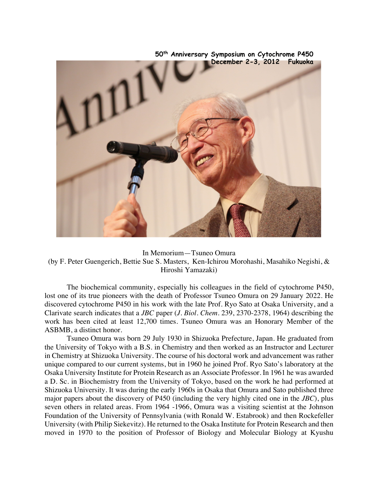

**50th Anniversary Symposium on Cytochrome P450**

In Memorium—Tsuneo Omura (by F. Peter Guengerich, Bettie Sue S. Masters, Ken-Ichirou Morohashi, Masahiko Negishi, & Hiroshi Yamazaki)

The biochemical community, especially his colleagues in the field of cytochrome P450, lost one of its true pioneers with the death of Professor Tsuneo Omura on 29 January 2022. He discovered cytochrome P450 in his work with the late Prof. Ryo Sato at Osaka University, and a Clarivate search indicates that a *JBC* paper (*J. Biol. Chem.* 239, 2370-2378, 1964) describing the work has been cited at least 12,700 times. Tsuneo Omura was an Honorary Member of the ASBMB, a distinct honor.

Tsuneo Omura was born 29 July 1930 in Shizuoka Prefecture, Japan. He graduated from the University of Tokyo with a B.S. in Chemistry and then worked as an Instructor and Lecturer in Chemistry at Shizuoka University. The course of his doctoral work and advancement was rather unique compared to our current systems, but in 1960 he joined Prof. Ryo Sato's laboratory at the Osaka University Institute for Protein Research as an Associate Professor. In 1961 he was awarded a D. Sc. in Biochemistry from the University of Tokyo, based on the work he had performed at Shizuoka University. It was during the early 1960s in Osaka that Omura and Sato published three major papers about the discovery of P450 (including the very highly cited one in the *JBC*), plus seven others in related areas. From 1964 -1966, Omura was a visiting scientist at the Johnson Foundation of the University of Pennsylvania (with Ronald W. Estabrook) and then Rockefeller University (with Philip Siekevitz). He returned to the Osaka Institute for Protein Research and then moved in 1970 to the position of Professor of Biology and Molecular Biology at Kyushu